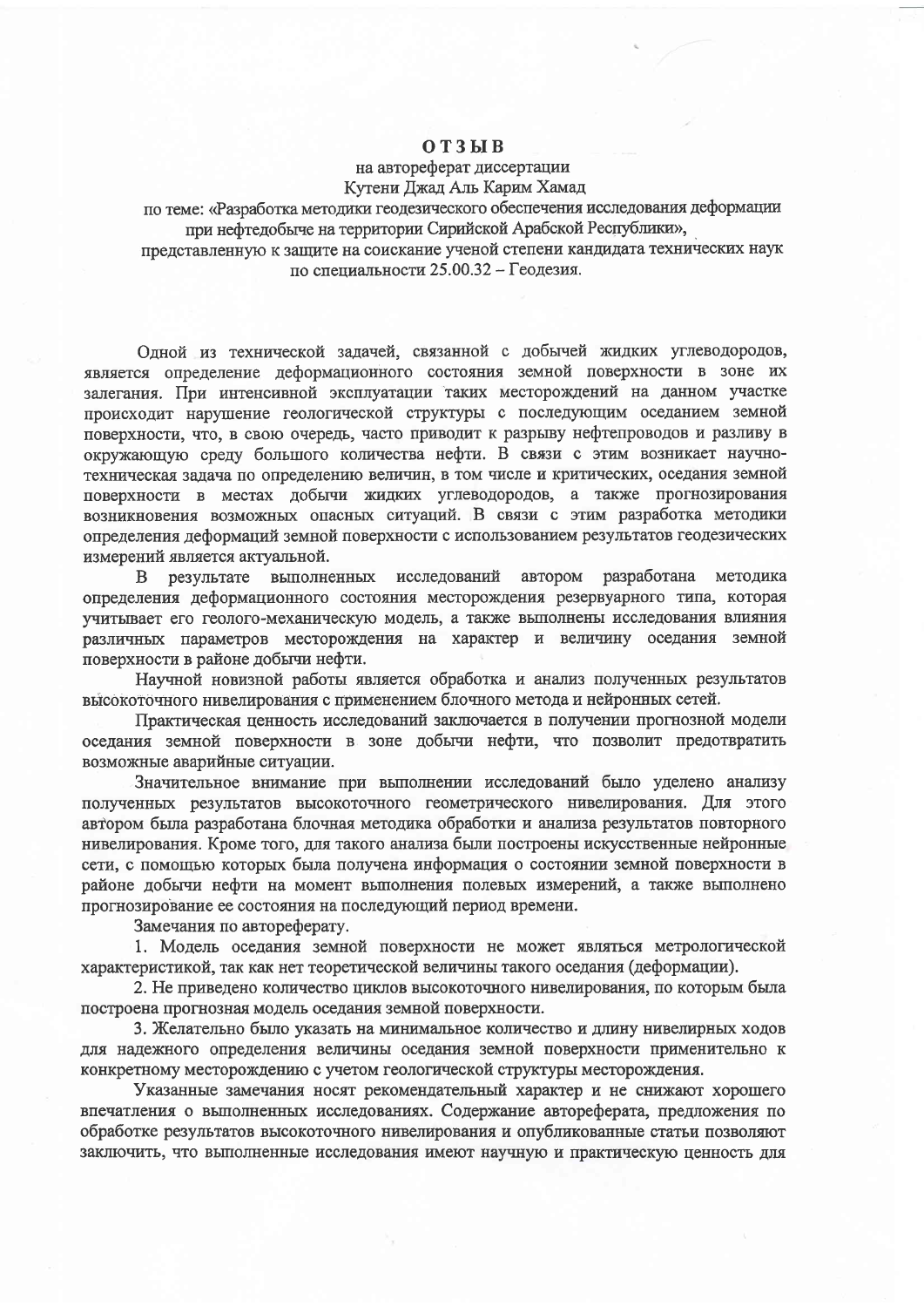## $O T 3 H B$

## на автореферат диссертации

Кутени Джад Аль Карим Хамад

по теме: «Разработка методики геодезического обеспечения исследования деформации при нефтедобыче на территории Сирийской Арабской Республики»,

представленную к защите на соискание ученой степени кандидата технических наук по специальности 25.00.32 - Геодезия.

Одной из технической задачей, связанной с добычей жидких углеводородов, является определение деформационного состояния земной поверхности в зоне их залегания. При интенсивной эксплуатации таких месторождений на данном участке происходит нарушение геологической структуры с последующим оседанием земной поверхности, что, в свою очередь, часто приводит к разрыву нефтепроводов и разливу в окружающую среду большого количества нефти. В связи с этим возникает научнотехническая задача по определению величин, в том числе и критических, оседания земной поверхности в местах добычи жидких углеводородов, а также прогнозирования возникновения возможных опасных ситуаций. В связи с этим разработка методики определения деформаций земной поверхности с использованием результатов геодезических измерений является актуальной.

результате выполненных исследований автором разработана методика  $\mathbf{B}$ определения деформационного состояния месторождения резервуарного типа, которая учитывает его геолого-механическую модель, а также выполнены исследования влияния различных параметров месторождения на характер и величину оседания земной поверхности в районе добычи нефти.

Научной новизной работы является обработка и анализ полученных результатов высокоточного нивелирования с применением блочного метода и нейронных сетей.

Практическая ценность исследований заключается в получении прогнозной модели оседания земной поверхности в зоне добычи нефти, что позволит предотвратить возможные аварийные ситуации.

Значительное внимание при выполнении исследований было уделено анализу полученных результатов высокоточного геометрического нивелирования. Для этого автором была разработана блочная методика обработки и анализа результатов повторного нивелирования. Кроме того, для такого анализа были построены искусственные нейронные сети, с помощью которых была получена информация о состоянии земной поверхности в районе добычи нефти на момент выполнения полевых измерений, а также выполнено прогнозирование ее состояния на последующий период времени.

Замечания по автореферату.

1. Модель оседания земной поверхности не может являться метрологической характеристикой, так как нет теоретической величины такого оседания (деформации).

2. Не приведено количество циклов высокоточного нивелирования, по которым была построена прогнозная модель оседания земной поверхности.

3. Желательно было указать на минимальное количество и длину нивелирных ходов для надежного определения величины оседания земной поверхности применительно к конкретному месторождению с учетом геологической структуры месторождения.

Указанные замечания носят рекомендательный характер и не снижают хорошего впечатления о выполненных исследованиях. Содержание автореферата, предложения по обработке результатов высокоточного нивелирования и опубликованные статьи позволяют заключить, что выполненные исследования имеют научную и практическую ценность для